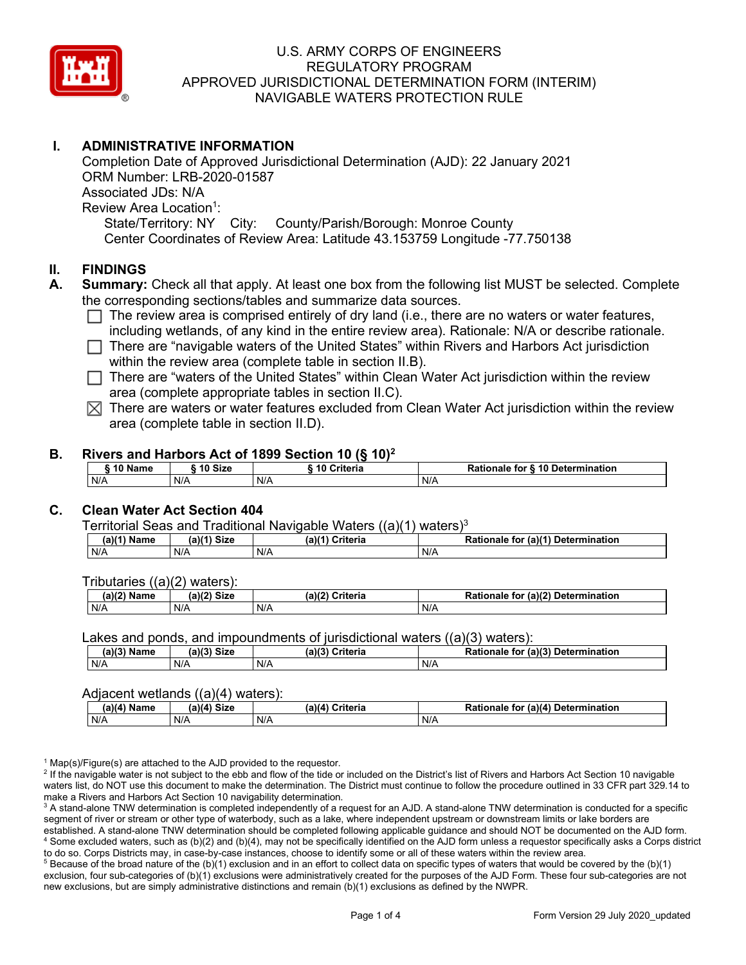

# **I. ADMINISTRATIVE INFORMATION**

Completion Date of Approved Jurisdictional Determination (AJD): 22 January 2021 ORM Number: LRB-2020-01587 Associated JDs: N/A Review Area Location<sup>1</sup>: State/Territory: NY City: County/Parish/Borough: Monroe County Center Coordinates of Review Area: Latitude 43.153759 Longitude -77.750138

#### **II. FINDINGS**

- **A. Summary:** Check all that apply. At least one box from the following list MUST be selected. Complete the corresponding sections/tables and summarize data sources.
	- $\Box$  The review area is comprised entirely of dry land (i.e., there are no waters or water features, including wetlands, of any kind in the entire review area). Rationale: N/A or describe rationale.
	- $\Box$  There are "navigable waters of the United States" within Rivers and Harbors Act jurisdiction within the review area (complete table in section II.B).
	- $\Box$  There are "waters of the United States" within Clean Water Act jurisdiction within the review area (complete appropriate tables in section II.C).
	- $\boxtimes$  There are waters or water features excluded from Clean Water Act jurisdiction within the review area (complete table in section II.D).

#### **B. Rivers and Harbors Act of 1899 Section 10 (§ 10)2**

| $\hat{ }$ 10 Name | ົ <sup>1</sup> 0 Size | ---<br>10 Criteria | Rationale for § 10 Determination |
|-------------------|-----------------------|--------------------|----------------------------------|
| N/A               | N/A                   | N/A                | N/A                              |

### **C. Clean Water Act Section 404**

Territorial Seas and Traditional Navigable Waters  $((a)(1)$  waters)<sup>3</sup>

| $(a)(1)$ .<br>Name | $(a)$ $(4)$<br>Size | (a)<br>Criteria | (a)(1) Determination<br>Rationale<br>for |
|--------------------|---------------------|-----------------|------------------------------------------|
| N/A                | N/A                 | N/A             | N/A                                      |

Tributaries ((a)(2) waters):

| $1001$ $F_{\rm{H}}$<br>Name | $\sim$ 1/2<br>- 01-4<br>oizu | (a)(2)<br>Nuite aig<br>пе | $\mathcal{L}$<br>. Determination<br>TO |
|-----------------------------|------------------------------|---------------------------|----------------------------------------|
| N/A                         | N/A                          | .<br>N/A                  | N/A                                    |

Lakes and ponds, and impoundments of jurisdictional waters  $((a)(3)$  waters):

| (a)(3) Name | (a)(3) Size | (a)(?') | Criteria | <b>Rationale</b><br>for | $\mathcal{L}$ (a)(?)<br>Determination |
|-------------|-------------|---------|----------|-------------------------|---------------------------------------|
| N/A         | N/A         | N/A     |          | N/A                     |                                       |

#### Adjacent wetlands  $((a)(4)$  waters):

| $(a)(4)$ Name | (a)(4) Size | .<br>(a)(4) Criteria | Rationale for (a)(4) Determination |
|---------------|-------------|----------------------|------------------------------------|
| N/A           | N/f         | N/A                  | N/A                                |

 $1$  Map(s)/Figure(s) are attached to the AJD provided to the requestor.

<sup>2</sup> If the navigable water is not subject to the ebb and flow of the tide or included on the District's list of Rivers and Harbors Act Section 10 navigable waters list, do NOT use this document to make the determination. The District must continue to follow the procedure outlined in 33 CFR part 329.14 to make a Rivers and Harbors Act Section 10 navigability determination.

<sup>3</sup> A stand-alone TNW determination is completed independently of a request for an AJD. A stand-alone TNW determination is conducted for a specific segment of river or stream or other type of waterbody, such as a lake, where independent upstream or downstream limits or lake borders are established. A stand-alone TNW determination should be completed following applicable guidance and should NOT be documented on the AJD form. <sup>4</sup> Some excluded waters, such as (b)(2) and (b)(4), may not be specifically identified on the AJD form unless a requestor specifically asks a Corps district to do so. Corps Districts may, in case-by-case instances, choose to identify some or all of these waters within the review area.

 $5$  Because of the broad nature of the (b)(1) exclusion and in an effort to collect data on specific types of waters that would be covered by the (b)(1) exclusion, four sub-categories of (b)(1) exclusions were administratively created for the purposes of the AJD Form. These four sub-categories are not new exclusions, but are simply administrative distinctions and remain (b)(1) exclusions as defined by the NWPR.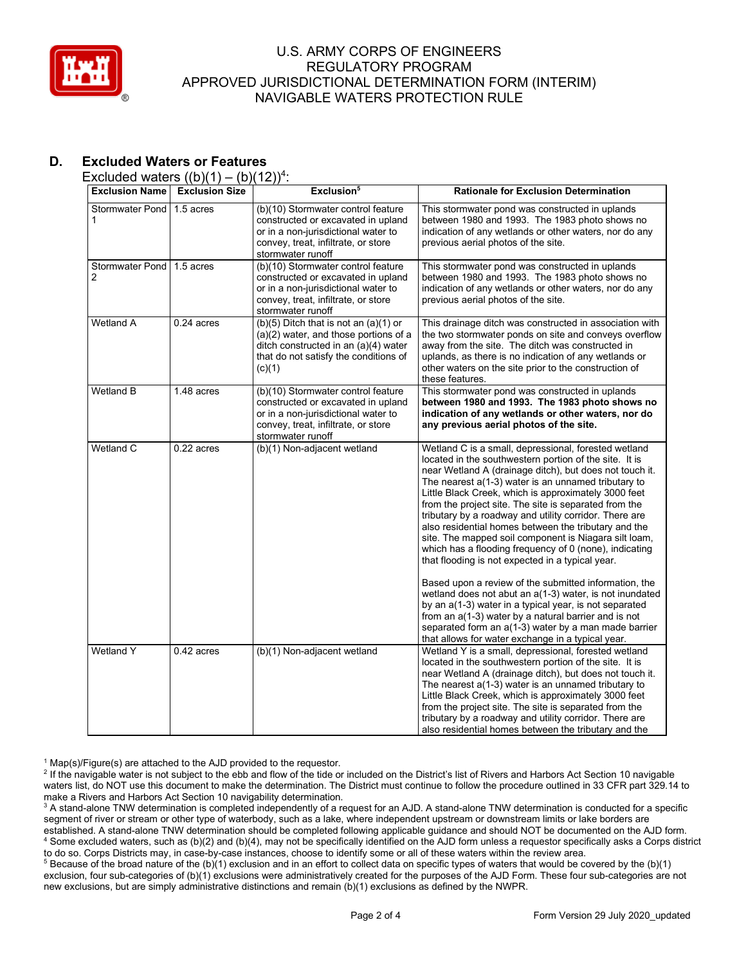

# **D. Excluded Waters or Features**

Excluded waters  $((b)(1) - (b)(12))^4$ :

| <b>Exclusion Name</b>                    | <b>Exclusion Size</b>   | Exclusion <sup>5</sup>                                                                                                                                                                                                                                                                                                                                                            | <b>Rationale for Exclusion Determination</b>                                                                                                                                                                                                                                                                                                                                                                                                                                                                                                                                                                                                                                                                                                                                                                                                                                                                                                                                                  |  |
|------------------------------------------|-------------------------|-----------------------------------------------------------------------------------------------------------------------------------------------------------------------------------------------------------------------------------------------------------------------------------------------------------------------------------------------------------------------------------|-----------------------------------------------------------------------------------------------------------------------------------------------------------------------------------------------------------------------------------------------------------------------------------------------------------------------------------------------------------------------------------------------------------------------------------------------------------------------------------------------------------------------------------------------------------------------------------------------------------------------------------------------------------------------------------------------------------------------------------------------------------------------------------------------------------------------------------------------------------------------------------------------------------------------------------------------------------------------------------------------|--|
| <b>Stormwater Pond</b><br>1              | 1.5 acres               | (b)(10) Stormwater control feature<br>constructed or excavated in upland<br>or in a non-jurisdictional water to<br>convey, treat, infiltrate, or store<br>stormwater runoff                                                                                                                                                                                                       | This stormwater pond was constructed in uplands<br>between 1980 and 1993. The 1983 photo shows no<br>indication of any wetlands or other waters, nor do any<br>previous aerial photos of the site.                                                                                                                                                                                                                                                                                                                                                                                                                                                                                                                                                                                                                                                                                                                                                                                            |  |
| <b>Stormwater Pond</b><br>$\overline{2}$ | 1.5 acres               | (b)(10) Stormwater control feature<br>This stormwater pond was constructed in uplands<br>constructed or excavated in upland<br>between 1980 and 1993. The 1983 photo shows no<br>or in a non-jurisdictional water to<br>indication of any wetlands or other waters, nor do any<br>convey, treat, infiltrate, or store<br>previous aerial photos of the site.<br>stormwater runoff |                                                                                                                                                                                                                                                                                                                                                                                                                                                                                                                                                                                                                                                                                                                                                                                                                                                                                                                                                                                               |  |
| <b>Wetland A</b>                         | $0.24$ acres            | $(b)(5)$ Ditch that is not an $(a)(1)$ or<br>$(a)(2)$ water, and those portions of a<br>ditch constructed in an (a)(4) water<br>that do not satisfy the conditions of<br>(c)(1)                                                                                                                                                                                                   | This drainage ditch was constructed in association with<br>the two stormwater ponds on site and conveys overflow<br>away from the site. The ditch was constructed in<br>uplands, as there is no indication of any wetlands or<br>other waters on the site prior to the construction of<br>these features.                                                                                                                                                                                                                                                                                                                                                                                                                                                                                                                                                                                                                                                                                     |  |
| <b>Wetland B</b>                         | $1.48$ acres            | (b)(10) Stormwater control feature<br>constructed or excavated in upland<br>or in a non-jurisdictional water to<br>convey, treat, infiltrate, or store<br>stormwater runoff                                                                                                                                                                                                       | This stormwater pond was constructed in uplands<br>between 1980 and 1993. The 1983 photo shows no<br>indication of any wetlands or other waters, nor do<br>any previous aerial photos of the site.                                                                                                                                                                                                                                                                                                                                                                                                                                                                                                                                                                                                                                                                                                                                                                                            |  |
| Wetland C                                | $\overline{0.22}$ acres | $\overline{(b)(1)}$ Non-adjacent wetland                                                                                                                                                                                                                                                                                                                                          | Wetland C is a small, depressional, forested wetland<br>located in the southwestern portion of the site. It is<br>near Wetland A (drainage ditch), but does not touch it.<br>The nearest a(1-3) water is an unnamed tributary to<br>Little Black Creek, which is approximately 3000 feet<br>from the project site. The site is separated from the<br>tributary by a roadway and utility corridor. There are<br>also residential homes between the tributary and the<br>site. The mapped soil component is Niagara silt loam,<br>which has a flooding frequency of 0 (none), indicating<br>that flooding is not expected in a typical year.<br>Based upon a review of the submitted information, the<br>wetland does not abut an a(1-3) water, is not inundated<br>by an a(1-3) water in a typical year, is not separated<br>from an a(1-3) water by a natural barrier and is not<br>separated form an a(1-3) water by a man made barrier<br>that allows for water exchange in a typical year. |  |
| <b>Wetland Y</b>                         | $0.42$ acres            | (b)(1) Non-adjacent wetland                                                                                                                                                                                                                                                                                                                                                       | Wetland Y is a small, depressional, forested wetland<br>located in the southwestern portion of the site. It is<br>near Wetland A (drainage ditch), but does not touch it.<br>The nearest $a(1-3)$ water is an unnamed tributary to<br>Little Black Creek, which is approximately 3000 feet<br>from the project site. The site is separated from the<br>tributary by a roadway and utility corridor. There are<br>also residential homes between the tributary and the                                                                                                                                                                                                                                                                                                                                                                                                                                                                                                                         |  |

 $1$  Map(s)/Figure(s) are attached to the AJD provided to the requestor.

<sup>2</sup> If the navigable water is not subject to the ebb and flow of the tide or included on the District's list of Rivers and Harbors Act Section 10 navigable waters list, do NOT use this document to make the determination. The District must continue to follow the procedure outlined in 33 CFR part 329.14 to make a Rivers and Harbors Act Section 10 navigability determination.

<sup>3</sup> A stand-alone TNW determination is completed independently of a request for an AJD. A stand-alone TNW determination is conducted for a specific segment of river or stream or other type of waterbody, such as a lake, where independent upstream or downstream limits or lake borders are established. A stand-alone TNW determination should be completed following applicable guidance and should NOT be documented on the AJD form. <sup>4</sup> Some excluded waters, such as (b)(2) and (b)(4), may not be specifically identified on the AJD form unless a requestor specifically asks a Corps district to do so. Corps Districts may, in case-by-case instances, choose to identify some or all of these waters within the review area.

<sup>5</sup> Because of the broad nature of the (b)(1) exclusion and in an effort to collect data on specific types of waters that would be covered by the (b)(1) exclusion, four sub-categories of (b)(1) exclusions were administratively created for the purposes of the AJD Form. These four sub-categories are not new exclusions, but are simply administrative distinctions and remain (b)(1) exclusions as defined by the NWPR.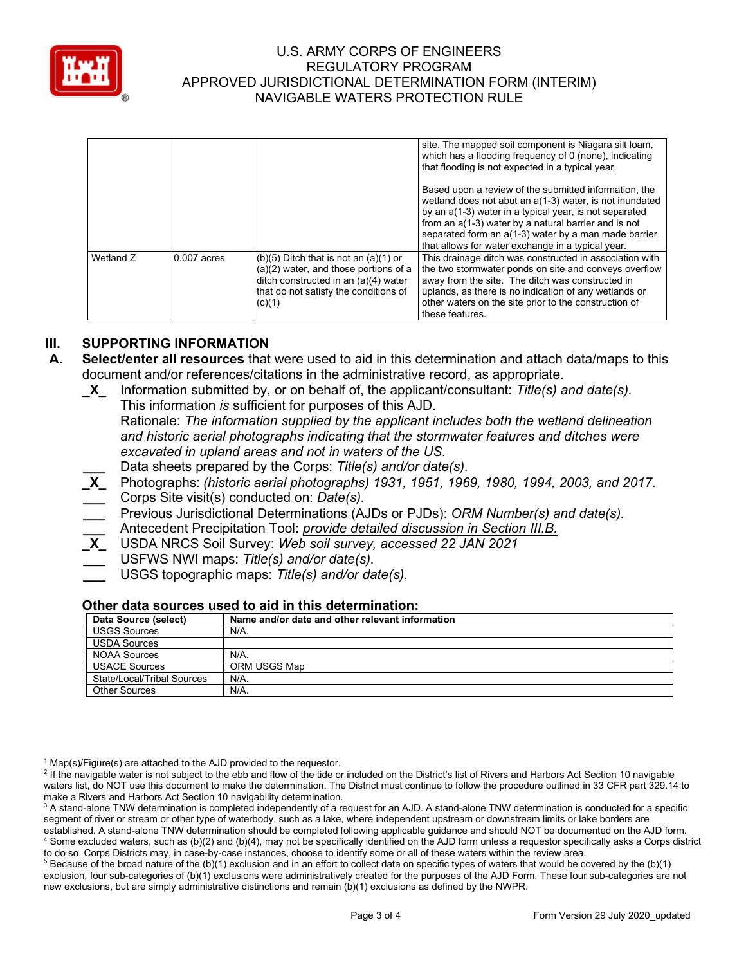

|           |               |                                                                                                                                                                               | site. The mapped soil component is Niagara silt loam,<br>which has a flooding frequency of 0 (none), indicating<br>that flooding is not expected in a typical year.                                                                                                                                                                             |
|-----------|---------------|-------------------------------------------------------------------------------------------------------------------------------------------------------------------------------|-------------------------------------------------------------------------------------------------------------------------------------------------------------------------------------------------------------------------------------------------------------------------------------------------------------------------------------------------|
|           |               |                                                                                                                                                                               | Based upon a review of the submitted information, the<br>wetland does not abut an a(1-3) water, is not inundated<br>by an a(1-3) water in a typical year, is not separated<br>from an a(1-3) water by a natural barrier and is not<br>separated form an a(1-3) water by a man made barrier<br>that allows for water exchange in a typical year. |
| Wetland Z | $0.007$ acres | $(b)(5)$ Ditch that is not an $(a)(1)$ or<br>(a)(2) water, and those portions of a<br>ditch constructed in an (a)(4) water<br>that do not satisfy the conditions of<br>(c)(1) | This drainage ditch was constructed in association with<br>the two stormwater ponds on site and conveys overflow<br>away from the site. The ditch was constructed in<br>uplands, as there is no indication of any wetlands or<br>other waters on the site prior to the construction of<br>these features.                                       |

# **III. SUPPORTING INFORMATION**

- **A. Select/enter all resources** that were used to aid in this determination and attach data/maps to this document and/or references/citations in the administrative record, as appropriate.
	- **\_X\_** Information submitted by, or on behalf of, the applicant/consultant: *Title(s) and date(s).* This information *is* sufficient for purposes of this AJD. Rationale: *The information supplied by the applicant includes both the wetland delineation and historic aerial photographs indicating that the stormwater features and ditches were excavated in upland areas and not in waters of the US.* **\_\_\_** Data sheets prepared by the Corps: *Title(s) and/or date(s).*
	- **\_X\_** Photographs: *(historic aerial photographs) 1931, 1951, 1969, 1980, 1994, 2003, and 2017.* **\_\_\_** Corps Site visit(s) conducted on: *Date(s).*
	- **\_\_\_** Previous Jurisdictional Determinations (AJDs or PJDs): *ORM Number(s) and date(s).* **\_\_\_** Antecedent Precipitation Tool: *provide detailed discussion in Section III.B.*
	- **\_X\_** USDA NRCS Soil Survey: *Web soil survey, accessed 22 JAN 2021*
	- **\_\_\_** USFWS NWI maps: *Title(s) and/or date(s).*
	- **\_\_\_** USGS topographic maps: *Title(s) and/or date(s).*

#### **Other data sources used to aid in this determination:**

| Data Source (select)       | Name and/or date and other relevant information |
|----------------------------|-------------------------------------------------|
| <b>USGS Sources</b>        | $N/A$ .                                         |
| <b>USDA Sources</b>        |                                                 |
| <b>NOAA Sources</b>        | N/A.                                            |
| <b>USACE Sources</b>       | ORM USGS Map                                    |
| State/Local/Tribal Sources | N/A.                                            |
| <b>Other Sources</b>       | N/A.                                            |

 $1$  Map(s)/Figure(s) are attached to the AJD provided to the requestor.

<sup>2</sup> If the navigable water is not subject to the ebb and flow of the tide or included on the District's list of Rivers and Harbors Act Section 10 navigable waters list, do NOT use this document to make the determination. The District must continue to follow the procedure outlined in 33 CFR part 329.14 to make a Rivers and Harbors Act Section 10 navigability determination.

 $5$  Because of the broad nature of the (b)(1) exclusion and in an effort to collect data on specific types of waters that would be covered by the (b)(1) exclusion, four sub-categories of (b)(1) exclusions were administratively created for the purposes of the AJD Form. These four sub-categories are not new exclusions, but are simply administrative distinctions and remain (b)(1) exclusions as defined by the NWPR.

<sup>&</sup>lt;sup>3</sup> A stand-alone TNW determination is completed independently of a request for an AJD. A stand-alone TNW determination is conducted for a specific segment of river or stream or other type of waterbody, such as a lake, where independent upstream or downstream limits or lake borders are established. A stand-alone TNW determination should be completed following applicable guidance and should NOT be documented on the AJD form. <sup>4</sup> Some excluded waters, such as (b)(2) and (b)(4), may not be specifically identified on the AJD form unless a requestor specifically asks a Corps district to do so. Corps Districts may, in case-by-case instances, choose to identify some or all of these waters within the review area.